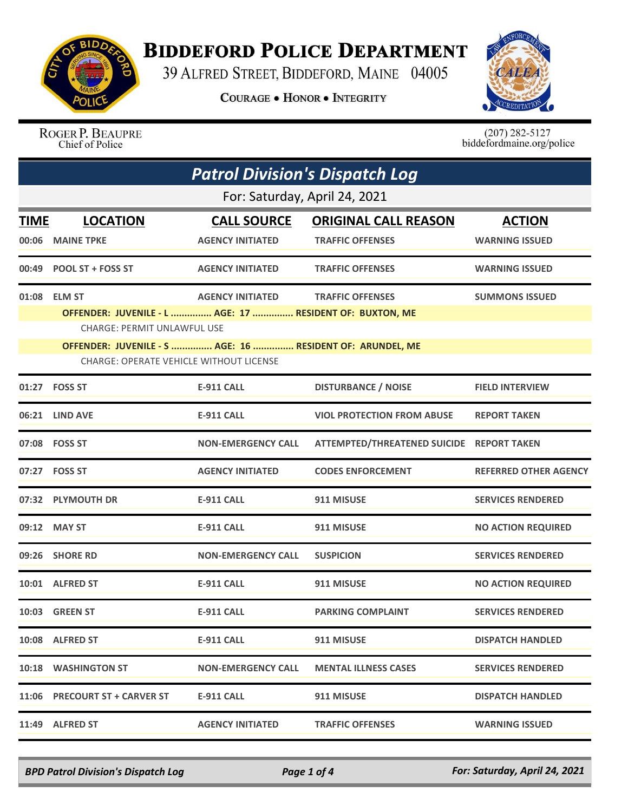

## **BIDDEFORD POLICE DEPARTMENT**

39 ALFRED STREET, BIDDEFORD, MAINE 04005

**COURAGE . HONOR . INTEGRITY** 



ROGER P. BEAUPRE<br>Chief of Police

 $(207)$  282-5127<br>biddefordmaine.org/police

| <b>Patrol Division's Dispatch Log</b> |                                                                                                             |                           |                                           |                              |  |  |
|---------------------------------------|-------------------------------------------------------------------------------------------------------------|---------------------------|-------------------------------------------|------------------------------|--|--|
|                                       | For: Saturday, April 24, 2021                                                                               |                           |                                           |                              |  |  |
| TIME                                  | <b>LOCATION</b>                                                                                             | <b>CALL SOURCE</b>        | <b>ORIGINAL CALL REASON</b>               | <b>ACTION</b>                |  |  |
| 00:06                                 | <b>MAINE TPKE</b>                                                                                           | <b>AGENCY INITIATED</b>   | <b>TRAFFIC OFFENSES</b>                   | <b>WARNING ISSUED</b>        |  |  |
| 00:49                                 | <b>POOL ST + FOSS ST</b>                                                                                    | <b>AGENCY INITIATED</b>   | <b>TRAFFIC OFFENSES</b>                   | <b>WARNING ISSUED</b>        |  |  |
| 01:08                                 | <b>ELM ST</b>                                                                                               | <b>AGENCY INITIATED</b>   | <b>TRAFFIC OFFENSES</b>                   | <b>SUMMONS ISSUED</b>        |  |  |
|                                       | OFFENDER: JUVENILE - L  AGE: 17  RESIDENT OF: BUXTON, ME                                                    |                           |                                           |                              |  |  |
|                                       | CHARGE: PERMIT UNLAWFUL USE                                                                                 |                           |                                           |                              |  |  |
|                                       | OFFENDER: JUVENILE - S  AGE: 16  RESIDENT OF: ARUNDEL, ME<br><b>CHARGE: OPERATE VEHICLE WITHOUT LICENSE</b> |                           |                                           |                              |  |  |
|                                       | 01:27    FOSS ST                                                                                            | <b>E-911 CALL</b>         | <b>DISTURBANCE / NOISE</b>                | <b>FIELD INTERVIEW</b>       |  |  |
|                                       | 06:21 LIND AVE                                                                                              | <b>E-911 CALL</b>         | <b>VIOL PROTECTION FROM ABUSE</b>         | <b>REPORT TAKEN</b>          |  |  |
|                                       | 07:08 FOSS ST                                                                                               | <b>NON-EMERGENCY CALL</b> | ATTEMPTED/THREATENED SUICIDE REPORT TAKEN |                              |  |  |
|                                       | 07:27    FOSS ST                                                                                            | <b>AGENCY INITIATED</b>   | <b>CODES ENFORCEMENT</b>                  | <b>REFERRED OTHER AGENCY</b> |  |  |
|                                       | 07:32 PLYMOUTH DR                                                                                           | <b>E-911 CALL</b>         | 911 MISUSE                                | <b>SERVICES RENDERED</b>     |  |  |
|                                       | 09:12 MAY ST                                                                                                | <b>E-911 CALL</b>         | 911 MISUSE                                | <b>NO ACTION REQUIRED</b>    |  |  |
|                                       | 09:26 SHORE RD                                                                                              | <b>NON-EMERGENCY CALL</b> | <b>SUSPICION</b>                          | <b>SERVICES RENDERED</b>     |  |  |
|                                       | 10:01 ALFRED ST                                                                                             | <b>E-911 CALL</b>         | 911 MISUSE                                | <b>NO ACTION REQUIRED</b>    |  |  |
|                                       | 10:03 GREEN ST                                                                                              | <b>E-911 CALL</b>         | <b>PARKING COMPLAINT</b>                  | <b>SERVICES RENDERED</b>     |  |  |
|                                       | 10:08 ALFRED ST                                                                                             | E-911 CALL                | 911 MISUSE                                | <b>DISPATCH HANDLED</b>      |  |  |
|                                       | 10:18 WASHINGTON ST                                                                                         | <b>NON-EMERGENCY CALL</b> | <b>MENTAL ILLNESS CASES</b>               | <b>SERVICES RENDERED</b>     |  |  |
|                                       | 11:06 PRECOURT ST + CARVER ST                                                                               | E-911 CALL                | 911 MISUSE                                | <b>DISPATCH HANDLED</b>      |  |  |
|                                       | 11:49 ALFRED ST                                                                                             | <b>AGENCY INITIATED</b>   | <b>TRAFFIC OFFENSES</b>                   | <b>WARNING ISSUED</b>        |  |  |

*BPD Patrol Division's Dispatch Log Page 1 of 4 For: Saturday, April 24, 2021*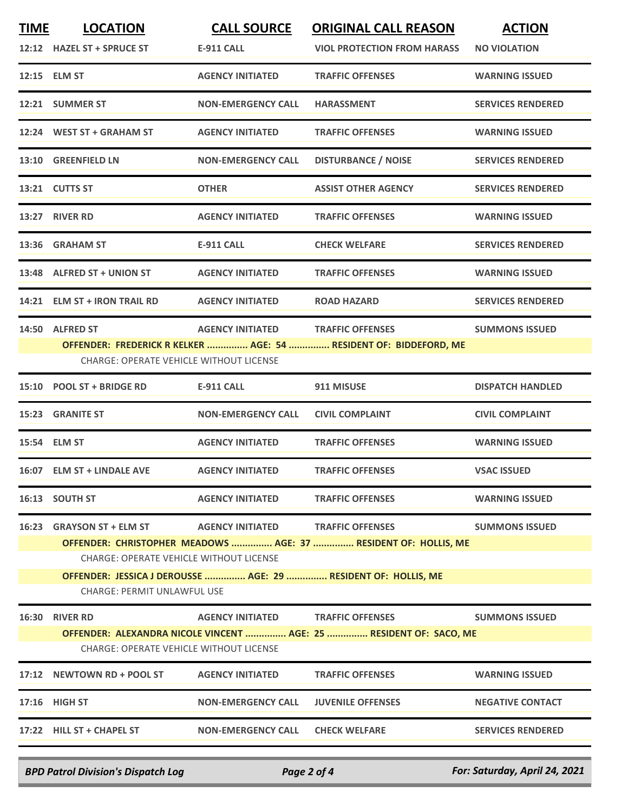| <b>TIME</b> | <b>LOCATION</b><br>12:12 HAZEL ST + SPRUCE ST                                                                                                                                                                                                                                                                                          | <b>CALL SOURCE</b><br><b>E-911 CALL</b> | <b>ORIGINAL CALL REASON</b><br><b>VIOL PROTECTION FROM HARASS</b>                            | <b>ACTION</b><br><b>NO VIOLATION</b> |  |
|-------------|----------------------------------------------------------------------------------------------------------------------------------------------------------------------------------------------------------------------------------------------------------------------------------------------------------------------------------------|-----------------------------------------|----------------------------------------------------------------------------------------------|--------------------------------------|--|
|             | 12:15 ELM ST                                                                                                                                                                                                                                                                                                                           | <b>AGENCY INITIATED</b>                 | <b>TRAFFIC OFFENSES</b>                                                                      | <b>WARNING ISSUED</b>                |  |
|             | 12:21 SUMMER ST                                                                                                                                                                                                                                                                                                                        | <b>NON-EMERGENCY CALL</b>               | <b>HARASSMENT</b>                                                                            | <b>SERVICES RENDERED</b>             |  |
|             | 12:24 WEST ST + GRAHAM ST                                                                                                                                                                                                                                                                                                              | <b>AGENCY INITIATED</b>                 | <b>TRAFFIC OFFENSES</b>                                                                      | <b>WARNING ISSUED</b>                |  |
|             | 13:10 GREENFIELD LN                                                                                                                                                                                                                                                                                                                    | <b>NON-EMERGENCY CALL</b>               | <b>DISTURBANCE / NOISE</b>                                                                   | <b>SERVICES RENDERED</b>             |  |
|             | 13:21 CUTTS ST                                                                                                                                                                                                                                                                                                                         | <b>OTHER</b>                            | <b>ASSIST OTHER AGENCY</b>                                                                   | <b>SERVICES RENDERED</b>             |  |
|             | 13:27 RIVER RD                                                                                                                                                                                                                                                                                                                         | <b>AGENCY INITIATED</b>                 | <b>TRAFFIC OFFENSES</b>                                                                      | <b>WARNING ISSUED</b>                |  |
|             | 13:36 GRAHAM ST                                                                                                                                                                                                                                                                                                                        | <b>E-911 CALL</b>                       | <b>CHECK WELFARE</b>                                                                         | <b>SERVICES RENDERED</b>             |  |
|             | 13:48 ALFRED ST + UNION ST                                                                                                                                                                                                                                                                                                             | <b>AGENCY INITIATED</b>                 | <b>TRAFFIC OFFENSES</b>                                                                      | <b>WARNING ISSUED</b>                |  |
|             | 14:21 ELM ST + IRON TRAIL RD                                                                                                                                                                                                                                                                                                           | <b>AGENCY INITIATED</b>                 | <b>ROAD HAZARD</b>                                                                           | <b>SERVICES RENDERED</b>             |  |
|             | 14:50 ALFRED ST<br><b>CHARGE: OPERATE VEHICLE WITHOUT LICENSE</b>                                                                                                                                                                                                                                                                      | <b>AGENCY INITIATED</b>                 | <b>TRAFFIC OFFENSES</b><br>OFFENDER: FREDERICK R KELKER  AGE: 54  RESIDENT OF: BIDDEFORD, ME | <b>SUMMONS ISSUED</b>                |  |
|             | 15:10 POOL ST + BRIDGE RD                                                                                                                                                                                                                                                                                                              | <b>E-911 CALL</b>                       | 911 MISUSE                                                                                   | <b>DISPATCH HANDLED</b>              |  |
|             | 15:23 GRANITE ST                                                                                                                                                                                                                                                                                                                       | <b>NON-EMERGENCY CALL</b>               | <b>CIVIL COMPLAINT</b>                                                                       | <b>CIVIL COMPLAINT</b>               |  |
|             | 15:54 ELM ST                                                                                                                                                                                                                                                                                                                           | <b>AGENCY INITIATED</b>                 | <b>TRAFFIC OFFENSES</b>                                                                      | <b>WARNING ISSUED</b>                |  |
|             | 16:07 ELM ST + LINDALE AVE                                                                                                                                                                                                                                                                                                             | <b>AGENCY INITIATED</b>                 | <b>TRAFFIC OFFENSES</b>                                                                      | <b>VSAC ISSUED</b>                   |  |
|             | 16:13 SOUTH ST                                                                                                                                                                                                                                                                                                                         | <b>AGENCY INITIATED</b>                 | <b>TRAFFIC OFFENSES</b>                                                                      | <b>WARNING ISSUED</b>                |  |
| 16:23       | <b>GRAYSON ST + ELM ST</b><br><b>AGENCY INITIATED</b><br><b>TRAFFIC OFFENSES</b><br><b>SUMMONS ISSUED</b><br>OFFENDER: CHRISTOPHER MEADOWS  AGE: 37  RESIDENT OF: HOLLIS, ME<br><b>CHARGE: OPERATE VEHICLE WITHOUT LICENSE</b><br>OFFENDER: JESSICA J DEROUSSE  AGE: 29  RESIDENT OF: HOLLIS, ME<br><b>CHARGE: PERMIT UNLAWFUL USE</b> |                                         |                                                                                              |                                      |  |
|             | 16:30 RIVER RD                                                                                                                                                                                                                                                                                                                         | <b>AGENCY INITIATED</b>                 | <b>TRAFFIC OFFENSES</b>                                                                      | <b>SUMMONS ISSUED</b>                |  |
|             | <b>CHARGE: OPERATE VEHICLE WITHOUT LICENSE</b>                                                                                                                                                                                                                                                                                         |                                         | OFFENDER: ALEXANDRA NICOLE VINCENT  AGE: 25  RESIDENT OF: SACO, ME                           |                                      |  |
|             | 17:12 NEWTOWN RD + POOL ST                                                                                                                                                                                                                                                                                                             | <b>AGENCY INITIATED</b>                 | <b>TRAFFIC OFFENSES</b>                                                                      | <b>WARNING ISSUED</b>                |  |
|             | 17:16 HIGH ST                                                                                                                                                                                                                                                                                                                          | <b>NON-EMERGENCY CALL</b>               | <b>JUVENILE OFFENSES</b>                                                                     | <b>NEGATIVE CONTACT</b>              |  |
|             | 17:22 HILL ST + CHAPEL ST                                                                                                                                                                                                                                                                                                              | NON-EMERGENCY CALL                      | <b>CHECK WELFARE</b>                                                                         | <b>SERVICES RENDERED</b>             |  |

*BPD Patrol Division's Dispatch Log Page 2 of 4 For: Saturday, April 24, 2021*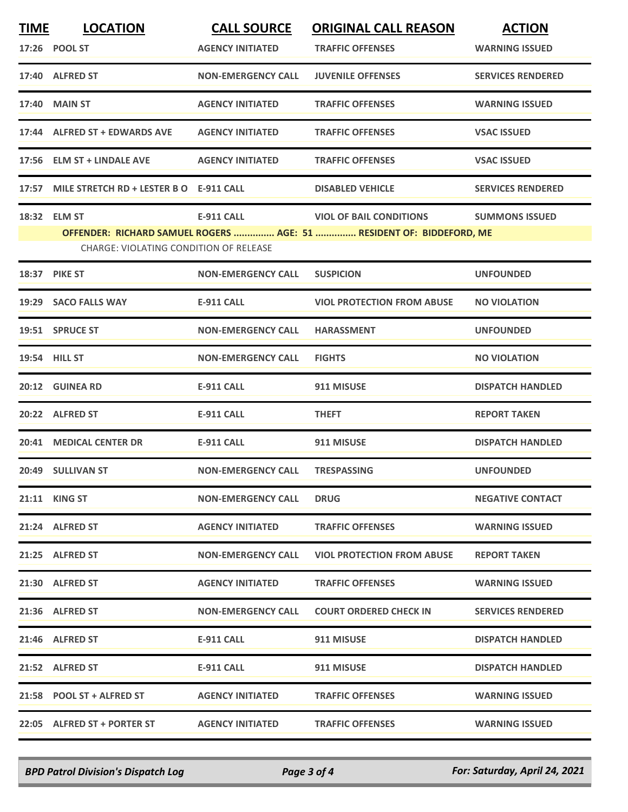| <b>TIME</b> | <b>LOCATION</b>                               | <b>CALL SOURCE</b>        | <b>ORIGINAL CALL REASON</b>                                          | <b>ACTION</b>            |
|-------------|-----------------------------------------------|---------------------------|----------------------------------------------------------------------|--------------------------|
|             | 17:26 POOL ST                                 | <b>AGENCY INITIATED</b>   | <b>TRAFFIC OFFENSES</b>                                              | <b>WARNING ISSUED</b>    |
|             | 17:40 ALFRED ST                               | <b>NON-EMERGENCY CALL</b> | <b>JUVENILE OFFENSES</b>                                             | <b>SERVICES RENDERED</b> |
|             | 17:40 MAIN ST                                 | <b>AGENCY INITIATED</b>   | <b>TRAFFIC OFFENSES</b>                                              | <b>WARNING ISSUED</b>    |
|             | 17:44 ALFRED ST + EDWARDS AVE                 | <b>AGENCY INITIATED</b>   | <b>TRAFFIC OFFENSES</b>                                              | <b>VSAC ISSUED</b>       |
|             | 17:56 ELM ST + LINDALE AVE                    | <b>AGENCY INITIATED</b>   | <b>TRAFFIC OFFENSES</b>                                              | <b>VSAC ISSUED</b>       |
|             | 17:57 MILE STRETCH RD + LESTER B O E-911 CALL |                           | <b>DISABLED VEHICLE</b>                                              | <b>SERVICES RENDERED</b> |
|             | 18:32 ELM ST                                  | <b>E-911 CALL</b>         | <b>SALE CONDITIONS</b>                                               | <b>SUMMONS ISSUED</b>    |
|             |                                               |                           | OFFENDER: RICHARD SAMUEL ROGERS  AGE: 51  RESIDENT OF: BIDDEFORD, ME |                          |
|             | CHARGE: VIOLATING CONDITION OF RELEASE        |                           |                                                                      |                          |
|             | <b>18:37 PIKE ST</b>                          | <b>NON-EMERGENCY CALL</b> | <b>SUSPICION</b>                                                     | <b>UNFOUNDED</b>         |
|             | 19:29 SACO FALLS WAY                          | <b>E-911 CALL</b>         | <b>VIOL PROTECTION FROM ABUSE</b>                                    | <b>NO VIOLATION</b>      |
|             | 19:51 SPRUCE ST                               | <b>NON-EMERGENCY CALL</b> | <b>HARASSMENT</b>                                                    | <b>UNFOUNDED</b>         |
|             | 19:54 HILL ST                                 | <b>NON-EMERGENCY CALL</b> | <b>FIGHTS</b>                                                        | <b>NO VIOLATION</b>      |
|             | 20:12 GUINEA RD                               | <b>E-911 CALL</b>         | 911 MISUSE                                                           | <b>DISPATCH HANDLED</b>  |
|             | 20:22 ALFRED ST                               | <b>E-911 CALL</b>         | <b>THEFT</b>                                                         | <b>REPORT TAKEN</b>      |
|             | 20:41 MEDICAL CENTER DR                       | <b>E-911 CALL</b>         | 911 MISUSE                                                           | <b>DISPATCH HANDLED</b>  |
|             | 20:49 SULLIVAN ST                             | <b>NON-EMERGENCY CALL</b> | <b>TRESPASSING</b>                                                   | <b>UNFOUNDED</b>         |
|             | 21:11 KING ST                                 | <b>NON-EMERGENCY CALL</b> | <b>DRUG</b>                                                          | <b>NEGATIVE CONTACT</b>  |
|             | 21:24 ALFRED ST                               | <b>AGENCY INITIATED</b>   | <b>TRAFFIC OFFENSES</b>                                              | <b>WARNING ISSUED</b>    |
|             | 21:25 ALFRED ST                               | <b>NON-EMERGENCY CALL</b> | <b>VIOL PROTECTION FROM ABUSE</b>                                    | <b>REPORT TAKEN</b>      |
|             | 21:30 ALFRED ST                               | <b>AGENCY INITIATED</b>   | <b>TRAFFIC OFFENSES</b>                                              | <b>WARNING ISSUED</b>    |
|             | 21:36 ALFRED ST                               | <b>NON-EMERGENCY CALL</b> | <b>COURT ORDERED CHECK IN</b>                                        | <b>SERVICES RENDERED</b> |
|             | 21:46 ALFRED ST                               | E-911 CALL                | 911 MISUSE                                                           | <b>DISPATCH HANDLED</b>  |
|             | 21:52 ALFRED ST                               | E-911 CALL                | 911 MISUSE                                                           | <b>DISPATCH HANDLED</b>  |
|             | 21:58 POOL ST + ALFRED ST                     | <b>AGENCY INITIATED</b>   | <b>TRAFFIC OFFENSES</b>                                              | <b>WARNING ISSUED</b>    |
|             | 22:05 ALFRED ST + PORTER ST                   | <b>AGENCY INITIATED</b>   | <b>TRAFFIC OFFENSES</b>                                              | <b>WARNING ISSUED</b>    |
|             |                                               |                           |                                                                      |                          |

*BPD Patrol Division's Dispatch Log Page 3 of 4 For: Saturday, April 24, 2021*